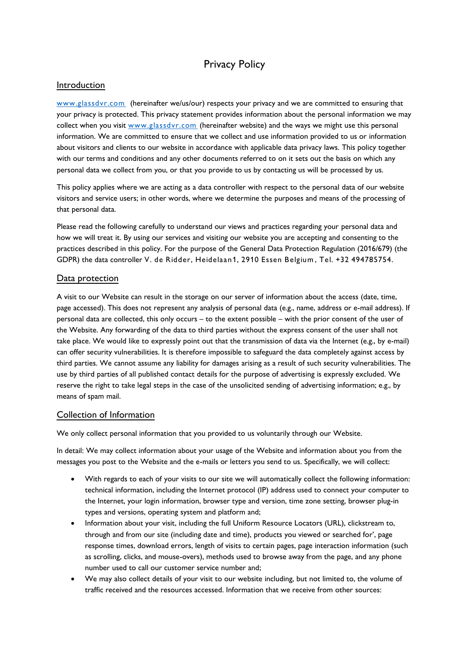# Privacy Policy

# Introduction

[www.glassdvr.com](http://www.glassdvr.com/) (hereinafter we/us/our) respects your privacy and we are committed to ensuring that your privacy is protected. This privacy statement provides information about the personal information we may collect when you visit [www.glassdvr.com](http://www.glassdvr.com/) (hereinafter website) and the ways we might use this personal information. We are committed to ensure that we collect and use information provided to us or information about visitors and clients to our website in accordance with applicable data privacy laws. This policy together with our terms and conditions and any other documents referred to on it sets out the basis on which any personal data we collect from you, or that you provide to us by contacting us will be processed by us.

This policy applies where we are acting as a data controller with respect to the personal data of our website visitors and service users; in other words, where we determine the purposes and means of the processing of that personal data.

Please read the following carefully to understand our views and practices regarding your personal data and how we will treat it. By using our services and visiting our website you are accepting and consenting to the practices described in this policy. For the purpose of the General Data Protection Regulation (2016/679) (the GDPR) the data controller V. de Ridder, Heidelaan1, 2910 Essen Belgium , Tel. +32 494785754.

# Data protection

A visit to our Website can result in the storage on our server of information about the access (date, time, page accessed). This does not represent any analysis of personal data (e.g., name, address or e-mail address). If personal data are collected, this only occurs – to the extent possible – with the prior consent of the user of the Website. Any forwarding of the data to third parties without the express consent of the user shall not take place. We would like to expressly point out that the transmission of data via the Internet (e.g., by e-mail) can offer security vulnerabilities. It is therefore impossible to safeguard the data completely against access by third parties. We cannot assume any liability for damages arising as a result of such security vulnerabilities. The use by third parties of all published contact details for the purpose of advertising is expressly excluded. We reserve the right to take legal steps in the case of the unsolicited sending of advertising information; e.g., by means of spam mail.

## Collection of Information

We only collect personal information that you provided to us voluntarily through our Website.

In detail: We may collect information about your usage of the Website and information about you from the messages you post to the Website and the e-mails or letters you send to us. Specifically, we will collect:

- With regards to each of your visits to our site we will automatically collect the following information: technical information, including the Internet protocol (IP) address used to connect your computer to the Internet, your login information, browser type and version, time zone setting, browser plug-in types and versions, operating system and platform and;
- Information about your visit, including the full Uniform Resource Locators (URL), clickstream to, through and from our site (including date and time), products you viewed or searched for', page response times, download errors, length of visits to certain pages, page interaction information (such as scrolling, clicks, and mouse-overs), methods used to browse away from the page, and any phone number used to call our customer service number and;
- We may also collect details of your visit to our website including, but not limited to, the volume of traffic received and the resources accessed. Information that we receive from other sources: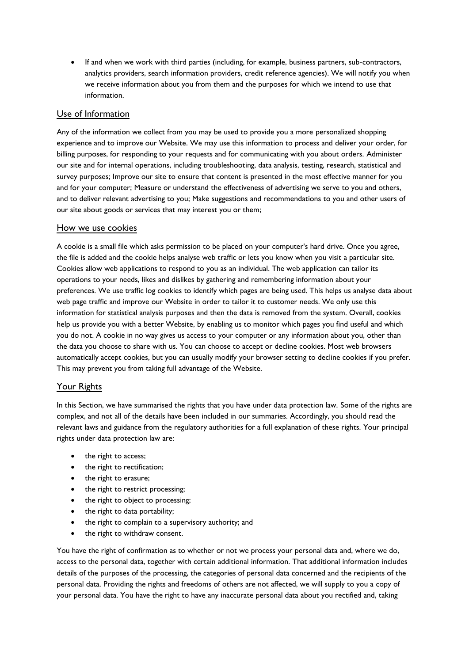• If and when we work with third parties (including, for example, business partners, sub-contractors, analytics providers, search information providers, credit reference agencies). We will notify you when we receive information about you from them and the purposes for which we intend to use that information.

# Use of Information

Any of the information we collect from you may be used to provide you a more personalized shopping experience and to improve our Website. We may use this information to process and deliver your order, for billing purposes, for responding to your requests and for communicating with you about orders. Administer our site and for internal operations, including troubleshooting, data analysis, testing, research, statistical and survey purposes; Improve our site to ensure that content is presented in the most effective manner for you and for your computer; Measure or understand the effectiveness of advertising we serve to you and others, and to deliver relevant advertising to you; Make suggestions and recommendations to you and other users of our site about goods or services that may interest you or them;

## How we use cookies

A cookie is a small file which asks permission to be placed on your computer's hard drive. Once you agree, the file is added and the cookie helps analyse web traffic or lets you know when you visit a particular site. Cookies allow web applications to respond to you as an individual. The web application can tailor its operations to your needs, likes and dislikes by gathering and remembering information about your preferences. We use traffic log cookies to identify which pages are being used. This helps us analyse data about web page traffic and improve our Website in order to tailor it to customer needs. We only use this information for statistical analysis purposes and then the data is removed from the system. Overall, cookies help us provide you with a better Website, by enabling us to monitor which pages you find useful and which you do not. A cookie in no way gives us access to your computer or any information about you, other than the data you choose to share with us. You can choose to accept or decline cookies. Most web browsers automatically accept cookies, but you can usually modify your browser setting to decline cookies if you prefer. This may prevent you from taking full advantage of the Website.

## Your Rights

In this Section, we have summarised the rights that you have under data protection law. Some of the rights are complex, and not all of the details have been included in our summaries. Accordingly, you should read the relevant laws and guidance from the regulatory authorities for a full explanation of these rights. Your principal rights under data protection law are:

- the right to access:
- the right to rectification;
- the right to erasure;
- the right to restrict processing;
- the right to object to processing;
- the right to data portability;
- the right to complain to a supervisory authority; and
- the right to withdraw consent.

You have the right of confirmation as to whether or not we process your personal data and, where we do, access to the personal data, together with certain additional information. That additional information includes details of the purposes of the processing, the categories of personal data concerned and the recipients of the personal data. Providing the rights and freedoms of others are not affected, we will supply to you a copy of your personal data. You have the right to have any inaccurate personal data about you rectified and, taking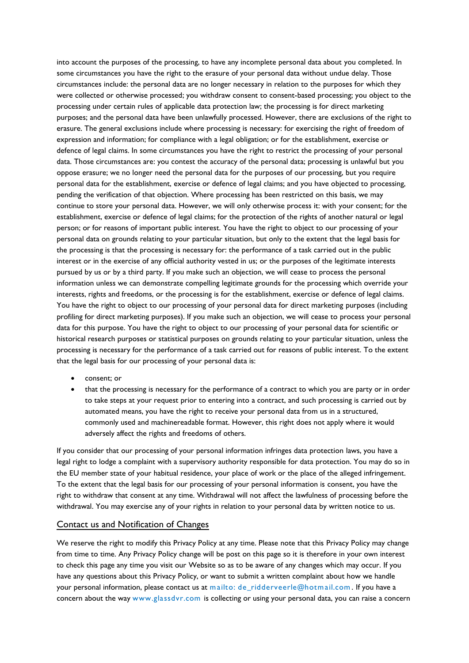into account the purposes of the processing, to have any incomplete personal data about you completed. In some circumstances you have the right to the erasure of your personal data without undue delay. Those circumstances include: the personal data are no longer necessary in relation to the purposes for which they were collected or otherwise processed; you withdraw consent to consent-based processing; you object to the processing under certain rules of applicable data protection law; the processing is for direct marketing purposes; and the personal data have been unlawfully processed. However, there are exclusions of the right to erasure. The general exclusions include where processing is necessary: for exercising the right of freedom of expression and information; for compliance with a legal obligation; or for the establishment, exercise or defence of legal claims. In some circumstances you have the right to restrict the processing of your personal data. Those circumstances are: you contest the accuracy of the personal data; processing is unlawful but you oppose erasure; we no longer need the personal data for the purposes of our processing, but you require personal data for the establishment, exercise or defence of legal claims; and you have objected to processing, pending the verification of that objection. Where processing has been restricted on this basis, we may continue to store your personal data. However, we will only otherwise process it: with your consent; for the establishment, exercise or defence of legal claims; for the protection of the rights of another natural or legal person; or for reasons of important public interest. You have the right to object to our processing of your personal data on grounds relating to your particular situation, but only to the extent that the legal basis for the processing is that the processing is necessary for: the performance of a task carried out in the public interest or in the exercise of any official authority vested in us; or the purposes of the legitimate interests pursued by us or by a third party. If you make such an objection, we will cease to process the personal information unless we can demonstrate compelling legitimate grounds for the processing which override your interests, rights and freedoms, or the processing is for the establishment, exercise or defence of legal claims. You have the right to object to our processing of your personal data for direct marketing purposes (including profiling for direct marketing purposes). If you make such an objection, we will cease to process your personal data for this purpose. You have the right to object to our processing of your personal data for scientific or historical research purposes or statistical purposes on grounds relating to your particular situation, unless the processing is necessary for the performance of a task carried out for reasons of public interest. To the extent that the legal basis for our processing of your personal data is:

- consent; or
- that the processing is necessary for the performance of a contract to which you are party or in order to take steps at your request prior to entering into a contract, and such processing is carried out by automated means, you have the right to receive your personal data from us in a structured, commonly used and machinereadable format. However, this right does not apply where it would adversely affect the rights and freedoms of others.

If you consider that our processing of your personal information infringes data protection laws, you have a legal right to lodge a complaint with a supervisory authority responsible for data protection. You may do so in the EU member state of your habitual residence, your place of work or the place of the alleged infringement. To the extent that the legal basis for our processing of your personal information is consent, you have the right to withdraw that consent at any time. Withdrawal will not affect the lawfulness of processing before the withdrawal. You may exercise any of your rights in relation to your personal data by written notice to us.

#### Contact us and Notification of Changes

We reserve the right to modify this Privacy Policy at any time. Please note that this Privacy Policy may change from time to time. Any Privacy Policy change will be post on this page so it is therefore in your own interest to check this page any time you visit our Website so as to be aware of any changes which may occur. If you have any questions about this Privacy Policy, or want to submit a written complaint about how we handle your personal information, please contact us at mailto: de\_ridderveerle@hotmail.com. If you have a concern about the way www.glassdvr.com is collecting or using your personal data, you can raise a concern